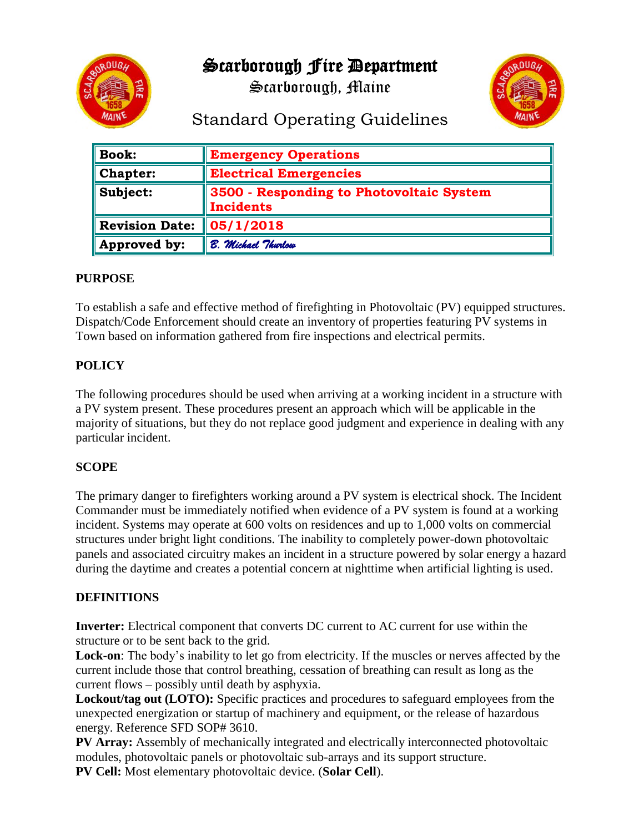

Scarborough, Maine



# Standard Operating Guidelines

| $\ $ Book:              | <b>Emergency Operations</b>                                  |
|-------------------------|--------------------------------------------------------------|
| $\blacksquare$ Chapter: | <b>Electrical Emergencies</b>                                |
| $\ $ Subject:           | 3500 - Responding to Photovoltaic System<br><b>Incidents</b> |
| Revision Date:          | 05/1/2018                                                    |
| Approved by:            | B. Michael Thurlow                                           |

#### **PURPOSE**

To establish a safe and effective method of firefighting in Photovoltaic (PV) equipped structures. Dispatch/Code Enforcement should create an inventory of properties featuring PV systems in Town based on information gathered from fire inspections and electrical permits.

## **POLICY**

The following procedures should be used when arriving at a working incident in a structure with a PV system present. These procedures present an approach which will be applicable in the majority of situations, but they do not replace good judgment and experience in dealing with any particular incident.

## **SCOPE**

The primary danger to firefighters working around a PV system is electrical shock. The Incident Commander must be immediately notified when evidence of a PV system is found at a working incident. Systems may operate at 600 volts on residences and up to 1,000 volts on commercial structures under bright light conditions. The inability to completely power-down photovoltaic panels and associated circuitry makes an incident in a structure powered by solar energy a hazard during the daytime and creates a potential concern at nighttime when artificial lighting is used.

## **DEFINITIONS**

**Inverter:** Electrical component that converts DC current to AC current for use within the structure or to be sent back to the grid.

Lock-on: The body's inability to let go from electricity. If the muscles or nerves affected by the current include those that control breathing, cessation of breathing can result as long as the current flows – possibly until death by asphyxia.

**Lockout/tag out (LOTO):** Specific practices and procedures to safeguard employees from the unexpected energization or startup of machinery and equipment, or the release of hazardous energy. Reference SFD SOP# 3610.

**PV Array:** Assembly of mechanically integrated and electrically interconnected photovoltaic modules, photovoltaic panels or photovoltaic sub-arrays and its support structure. **PV Cell:** Most elementary photovoltaic device. (**Solar Cell**).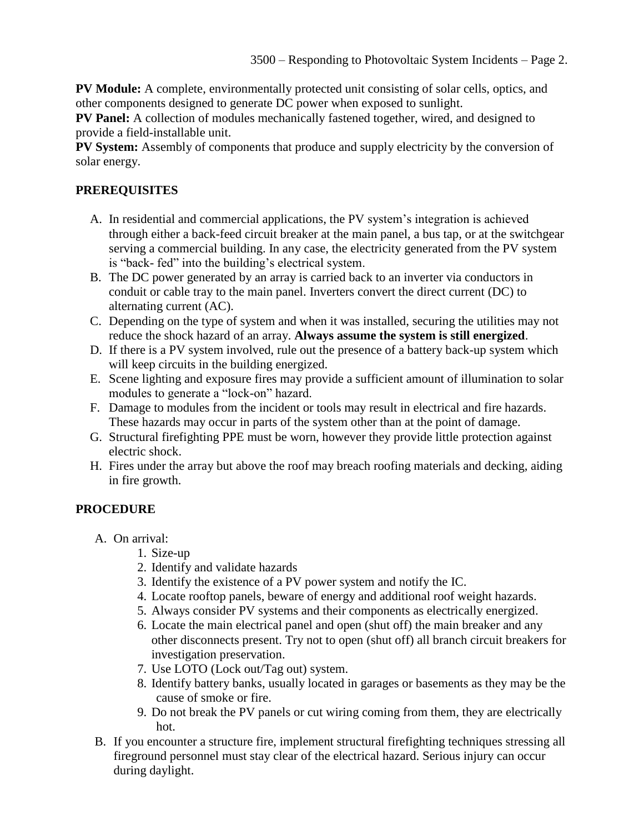**PV Module:** A complete, environmentally protected unit consisting of solar cells, optics, and other components designed to generate DC power when exposed to sunlight.

**PV Panel:** A collection of modules mechanically fastened together, wired, and designed to provide a field-installable unit.

**PV System:** Assembly of components that produce and supply electricity by the conversion of solar energy.

## **PREREQUISITES**

- A. In residential and commercial applications, the PV system's integration is achieved through either a back-feed circuit breaker at the main panel, a bus tap, or at the switchgear serving a commercial building. In any case, the electricity generated from the PV system is "back- fed" into the building's electrical system.
- B. The DC power generated by an array is carried back to an inverter via conductors in conduit or cable tray to the main panel. Inverters convert the direct current (DC) to alternating current (AC).
- C. Depending on the type of system and when it was installed, securing the utilities may not reduce the shock hazard of an array. **Always assume the system is still energized**.
- D. If there is a PV system involved, rule out the presence of a battery back-up system which will keep circuits in the building energized.
- E. Scene lighting and exposure fires may provide a sufficient amount of illumination to solar modules to generate a "lock-on" hazard.
- F. Damage to modules from the incident or tools may result in electrical and fire hazards. These hazards may occur in parts of the system other than at the point of damage.
- G. Structural firefighting PPE must be worn, however they provide little protection against electric shock.
- H. Fires under the array but above the roof may breach roofing materials and decking, aiding in fire growth.

## **PROCEDURE**

- A. On arrival:
	- 1. Size-up
	- 2. Identify and validate hazards
	- 3. Identify the existence of a PV power system and notify the IC.
	- 4. Locate rooftop panels, beware of energy and additional roof weight hazards.
	- 5. Always consider PV systems and their components as electrically energized.
	- 6. Locate the main electrical panel and open (shut off) the main breaker and any other disconnects present. Try not to open (shut off) all branch circuit breakers for investigation preservation.
	- 7. Use LOTO (Lock out/Tag out) system.
	- 8. Identify battery banks, usually located in garages or basements as they may be the cause of smoke or fire.
	- 9. Do not break the PV panels or cut wiring coming from them, they are electrically hot.
- B. If you encounter a structure fire, implement structural firefighting techniques stressing all fireground personnel must stay clear of the electrical hazard. Serious injury can occur during daylight.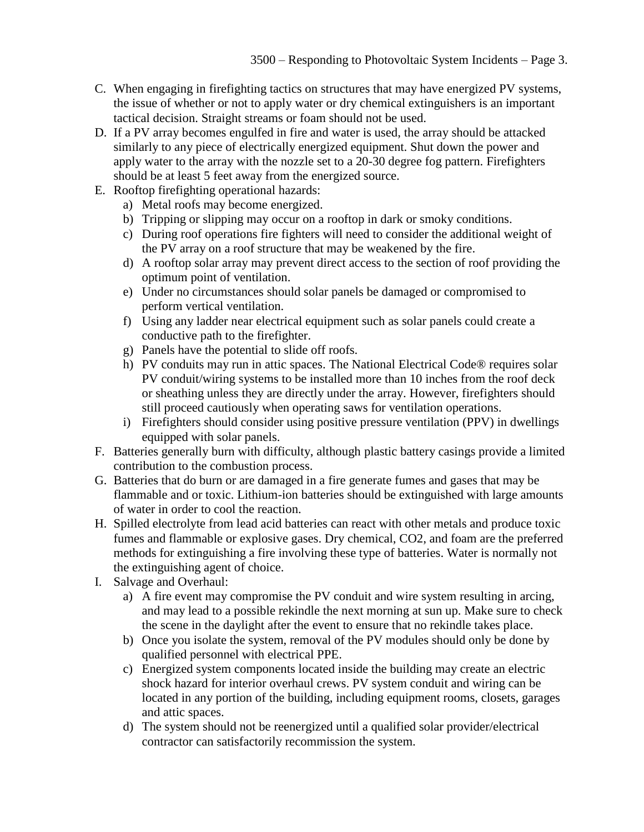- C. When engaging in firefighting tactics on structures that may have energized PV systems, the issue of whether or not to apply water or dry chemical extinguishers is an important tactical decision. Straight streams or foam should not be used.
- D. If a PV array becomes engulfed in fire and water is used, the array should be attacked similarly to any piece of electrically energized equipment. Shut down the power and apply water to the array with the nozzle set to a 20-30 degree fog pattern. Firefighters should be at least 5 feet away from the energized source.
- E. Rooftop firefighting operational hazards:
	- a) Metal roofs may become energized.
	- b) Tripping or slipping may occur on a rooftop in dark or smoky conditions.
	- c) During roof operations fire fighters will need to consider the additional weight of the PV array on a roof structure that may be weakened by the fire.
	- d) A rooftop solar array may prevent direct access to the section of roof providing the optimum point of ventilation.
	- e) Under no circumstances should solar panels be damaged or compromised to perform vertical ventilation.
	- f) Using any ladder near electrical equipment such as solar panels could create a conductive path to the firefighter.
	- g) Panels have the potential to slide off roofs.
	- h) PV conduits may run in attic spaces. The National Electrical Code® requires solar PV conduit/wiring systems to be installed more than 10 inches from the roof deck or sheathing unless they are directly under the array. However, firefighters should still proceed cautiously when operating saws for ventilation operations.
	- i) Firefighters should consider using positive pressure ventilation (PPV) in dwellings equipped with solar panels.
- F. Batteries generally burn with difficulty, although plastic battery casings provide a limited contribution to the combustion process.
- G. Batteries that do burn or are damaged in a fire generate fumes and gases that may be flammable and or toxic. Lithium-ion batteries should be extinguished with large amounts of water in order to cool the reaction.
- H. Spilled electrolyte from lead acid batteries can react with other metals and produce toxic fumes and flammable or explosive gases. Dry chemical, CO2, and foam are the preferred methods for extinguishing a fire involving these type of batteries. Water is normally not the extinguishing agent of choice.
- I. Salvage and Overhaul:
	- a) A fire event may compromise the PV conduit and wire system resulting in arcing, and may lead to a possible rekindle the next morning at sun up. Make sure to check the scene in the daylight after the event to ensure that no rekindle takes place.
	- b) Once you isolate the system, removal of the PV modules should only be done by qualified personnel with electrical PPE.
	- c) Energized system components located inside the building may create an electric shock hazard for interior overhaul crews. PV system conduit and wiring can be located in any portion of the building, including equipment rooms, closets, garages and attic spaces.
	- d) The system should not be reenergized until a qualified solar provider/electrical contractor can satisfactorily recommission the system.